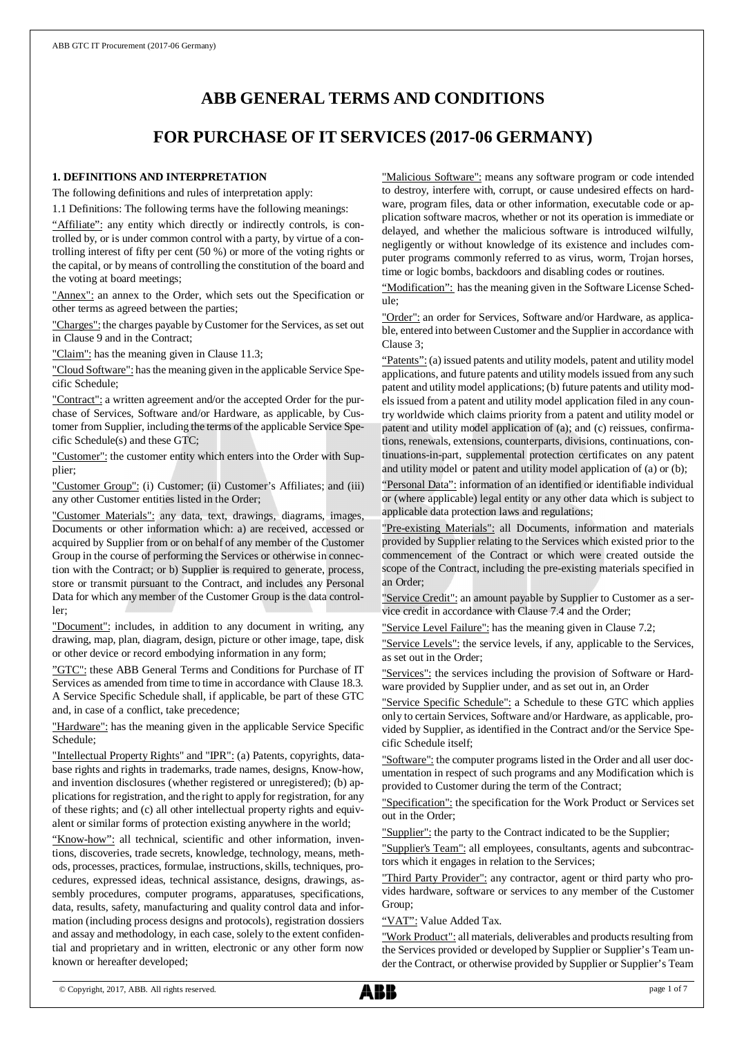# **ABB GENERAL TERMS AND CONDITIONS**

## **FOR PURCHASE OF IT SERVICES (2017-06 GERMANY)**

### **1. DEFINITIONS AND INTERPRETATION**

The following definitions and rules of interpretation apply:

1.1 Definitions: The following terms have the following meanings:

"Affiliate": any entity which directly or indirectly controls, is controlled by, or is under common control with a party, by virtue of a controlling interest of fifty per cent (50 %) or more of the voting rights or the capital, or by means of controlling the constitution of the board and the voting at board meetings;

"Annex": an annex to the Order, which sets out the Specification or other terms as agreed between the parties;

"Charges": the charges payable by Customer for the Services, as set out in Clause 9 and in the Contract;

"Claim": has the meaning given in Clause 11.3;

"Cloud Software": has the meaning given in the applicable Service Specific Schedule;

"Contract": a written agreement and/or the accepted Order for the purchase of Services, Software and/or Hardware, as applicable, by Customer from Supplier, including the terms of the applicable Service Specific Schedule(s) and these GTC;

"Customer": the customer entity which enters into the Order with Supplier;

"Customer Group": (i) Customer; (ii) Customer's Affiliates; and (iii) any other Customer entities listed in the Order;

"Customer Materials": any data, text, drawings, diagrams, images, Documents or other information which: a) are received, accessed or acquired by Supplier from or on behalf of any member of the Customer Group in the course of performing the Services or otherwise in connection with the Contract; or b) Supplier is required to generate, process, store or transmit pursuant to the Contract, and includes any Personal Data for which any member of the Customer Group is the data controller;

"Document": includes, in addition to any document in writing, any drawing, map, plan, diagram, design, picture or other image, tape, disk or other device or record embodying information in any form;

"GTC": these ABB General Terms and Conditions for Purchase of IT Services as amended from time to time in accordance with Clause 18.3. A Service Specific Schedule shall, if applicable, be part of these GTC and, in case of a conflict, take precedence;

"Hardware": has the meaning given in the applicable Service Specific Schedule;

"Intellectual Property Rights" and "IPR": (a) Patents, copyrights, database rights and rights in trademarks, trade names, designs, Know-how, and invention disclosures (whether registered or unregistered); (b) applications for registration, and the right to apply for registration, for any of these rights; and (c) all other intellectual property rights and equivalent or similar forms of protection existing anywhere in the world;

"Know-how": all technical, scientific and other information, inventions, discoveries, trade secrets, knowledge, technology, means, methods, processes, practices, formulae, instructions, skills, techniques, procedures, expressed ideas, technical assistance, designs, drawings, assembly procedures, computer programs, apparatuses, specifications, data, results, safety, manufacturing and quality control data and information (including process designs and protocols), registration dossiers and assay and methodology, in each case, solely to the extent confidential and proprietary and in written, electronic or any other form now known or hereafter developed;

"Malicious Software": means any software program or code intended to destroy, interfere with, corrupt, or cause undesired effects on hardware, program files, data or other information, executable code or application software macros, whether or not its operation is immediate or delayed, and whether the malicious software is introduced wilfully, negligently or without knowledge of its existence and includes computer programs commonly referred to as virus, worm, Trojan horses, time or logic bombs, backdoors and disabling codes or routines.

"Modification": has the meaning given in the Software License Schedule;

"Order": an order for Services, Software and/or Hardware, as applicable, entered into between Customer and the Supplier in accordance with Clause 3;

"Patents": (a) issued patents and utility models, patent and utility model applications, and future patents and utility models issued from any such patent and utility model applications; (b) future patents and utility models issued from a patent and utility model application filed in any country worldwide which claims priority from a patent and utility model or patent and utility model application of (a); and (c) reissues, confirmations, renewals, extensions, counterparts, divisions, continuations, continuations-in-part, supplemental protection certificates on any patent and utility model or patent and utility model application of (a) or (b);

"Personal Data": information of an identified or identifiable individual or (where applicable) legal entity or any other data which is subject to applicable data protection laws and regulations;

"Pre-existing Materials": all Documents, information and materials provided by Supplier relating to the Services which existed prior to the commencement of the Contract or which were created outside the scope of the Contract, including the pre-existing materials specified in an Order;

"Service Credit": an amount payable by Supplier to Customer as a service credit in accordance with Clause 7.4 and the Order;

"Service Level Failure": has the meaning given in Clause 7.2;

"Service Levels": the service levels, if any, applicable to the Services, as set out in the Order;

"Services": the services including the provision of Software or Hardware provided by Supplier under, and as set out in, an Order

"Service Specific Schedule": a Schedule to these GTC which applies only to certain Services, Software and/or Hardware, as applicable, provided by Supplier, as identified in the Contract and/or the Service Specific Schedule itself;

"Software": the computer programs listed in the Order and all user documentation in respect of such programs and any Modification which is provided to Customer during the term of the Contract;

"Specification": the specification for the Work Product or Services set out in the Order;

"Supplier": the party to the Contract indicated to be the Supplier;

"Supplier's Team": all employees, consultants, agents and subcontractors which it engages in relation to the Services;

"Third Party Provider": any contractor, agent or third party who provides hardware, software or services to any member of the Customer Group;

"VAT": Value Added Tax.

"Work Product": all materials, deliverables and products resulting from the Services provided or developed by Supplier or Supplier's Team under the Contract, or otherwise provided by Supplier or Supplier's Team

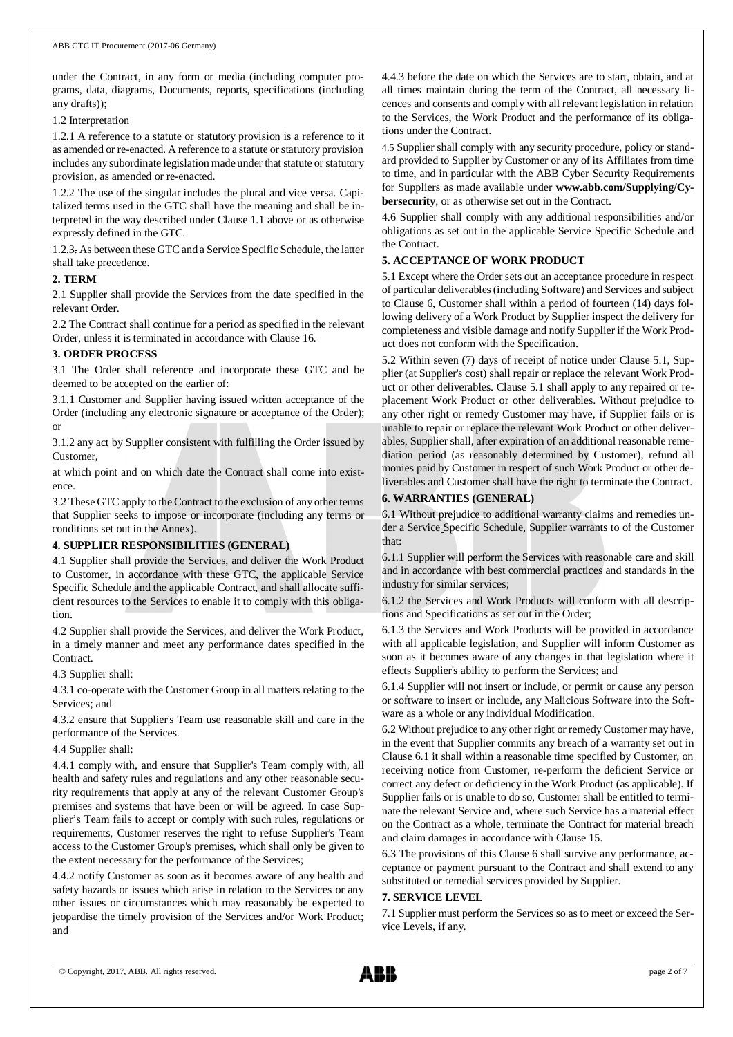under the Contract, in any form or media (including computer programs, data, diagrams, Documents, reports, specifications (including any drafts));

1.2 Interpretation

1.2.1 A reference to a statute or statutory provision is a reference to it as amended or re-enacted. A reference to a statute or statutory provision includes any subordinate legislation made under that statute or statutory provision, as amended or re-enacted.

1.2.2 The use of the singular includes the plural and vice versa. Capitalized terms used in the GTC shall have the meaning and shall be interpreted in the way described under Clause 1.1 above or as otherwise expressly defined in the GTC.

1.2.3. As between these GTC and a Service Specific Schedule, the latter shall take precedence.

### **2. TERM**

2.1 Supplier shall provide the Services from the date specified in the relevant Order.

2.2 The Contract shall continue for a period as specified in the relevant Order, unless it is terminated in accordance with Clause 16.

### **3. ORDER PROCESS**

3.1 The Order shall reference and incorporate these GTC and be deemed to be accepted on the earlier of:

3.1.1 Customer and Supplier having issued written acceptance of the Order (including any electronic signature or acceptance of the Order); or

3.1.2 any act by Supplier consistent with fulfilling the Order issued by **Customer** 

at which point and on which date the Contract shall come into existence.

3.2 These GTC apply to the Contract to the exclusion of any other terms that Supplier seeks to impose or incorporate (including any terms or conditions set out in the Annex).

### **4. SUPPLIER RESPONSIBILITIES (GENERAL)**

4.1 Supplier shall provide the Services, and deliver the Work Product to Customer, in accordance with these GTC, the applicable Service Specific Schedule and the applicable Contract, and shall allocate sufficient resources to the Services to enable it to comply with this obligation.

4.2 Supplier shall provide the Services, and deliver the Work Product, in a timely manner and meet any performance dates specified in the Contract.

4.3 Supplier shall:

4.3.1 co-operate with the Customer Group in all matters relating to the Services; and

4.3.2 ensure that Supplier's Team use reasonable skill and care in the performance of the Services.

### 4.4 Supplier shall:

4.4.1 comply with, and ensure that Supplier's Team comply with, all health and safety rules and regulations and any other reasonable security requirements that apply at any of the relevant Customer Group's premises and systems that have been or will be agreed. In case Supplier's Team fails to accept or comply with such rules, regulations or requirements, Customer reserves the right to refuse Supplier's Team access to the Customer Group's premises, which shall only be given to the extent necessary for the performance of the Services;

4.4.2 notify Customer as soon as it becomes aware of any health and safety hazards or issues which arise in relation to the Services or any other issues or circumstances which may reasonably be expected to jeopardise the timely provision of the Services and/or Work Product; and

4.4.3 before the date on which the Services are to start, obtain, and at all times maintain during the term of the Contract, all necessary licences and consents and comply with all relevant legislation in relation to the Services, the Work Product and the performance of its obligations under the Contract.

4.5 Supplier shall comply with any security procedure, policy or standard provided to Supplier by Customer or any of its Affiliates from time to time, and in particular with the ABB Cyber Security Requirements for Suppliers as made available under **www.abb.com/Supplying/Cybersecurity**, or as otherwise set out in the Contract.

4.6 Supplier shall comply with any additional responsibilities and/or obligations as set out in the applicable Service Specific Schedule and the Contract.

## **5. ACCEPTANCE OF WORK PRODUCT**

5.1 Except where the Order sets out an acceptance procedure in respect of particular deliverables (including Software) and Services and subject to Clause 6, Customer shall within a period of fourteen (14) days following delivery of a Work Product by Supplier inspect the delivery for completeness and visible damage and notify Supplier if the Work Product does not conform with the Specification.

5.2 Within seven (7) days of receipt of notice under Clause 5.1, Supplier (at Supplier's cost) shall repair or replace the relevant Work Product or other deliverables. Clause 5.1 shall apply to any repaired or replacement Work Product or other deliverables. Without prejudice to any other right or remedy Customer may have, if Supplier fails or is unable to repair or replace the relevant Work Product or other deliverables, Supplier shall, after expiration of an additional reasonable remediation period (as reasonably determined by Customer), refund all monies paid by Customer in respect of such Work Product or other deliverables and Customer shall have the right to terminate the Contract.

## **6. WARRANTIES (GENERAL)**

6.1 Without prejudice to additional warranty claims and remedies under a Service Specific Schedule, Supplier warrants to of the Customer that:

6.1.1 Supplier will perform the Services with reasonable care and skill and in accordance with best commercial practices and standards in the industry for similar services;

6.1.2 the Services and Work Products will conform with all descriptions and Specifications as set out in the Order;

6.1.3 the Services and Work Products will be provided in accordance with all applicable legislation, and Supplier will inform Customer as soon as it becomes aware of any changes in that legislation where it effects Supplier's ability to perform the Services; and

6.1.4 Supplier will not insert or include, or permit or cause any person or software to insert or include, any Malicious Software into the Software as a whole or any individual Modification.

6.2 Without prejudice to any other right or remedy Customer may have, in the event that Supplier commits any breach of a warranty set out in Clause 6.1 it shall within a reasonable time specified by Customer, on receiving notice from Customer, re-perform the deficient Service or correct any defect or deficiency in the Work Product (as applicable). If Supplier fails or is unable to do so, Customer shall be entitled to terminate the relevant Service and, where such Service has a material effect on the Contract as a whole, terminate the Contract for material breach and claim damages in accordance with Clause 15.

6.3 The provisions of this Clause 6 shall survive any performance, acceptance or payment pursuant to the Contract and shall extend to any substituted or remedial services provided by Supplier.

## **7. SERVICE LEVEL**

7.1 Supplier must perform the Services so as to meet or exceed the Service Levels, if any.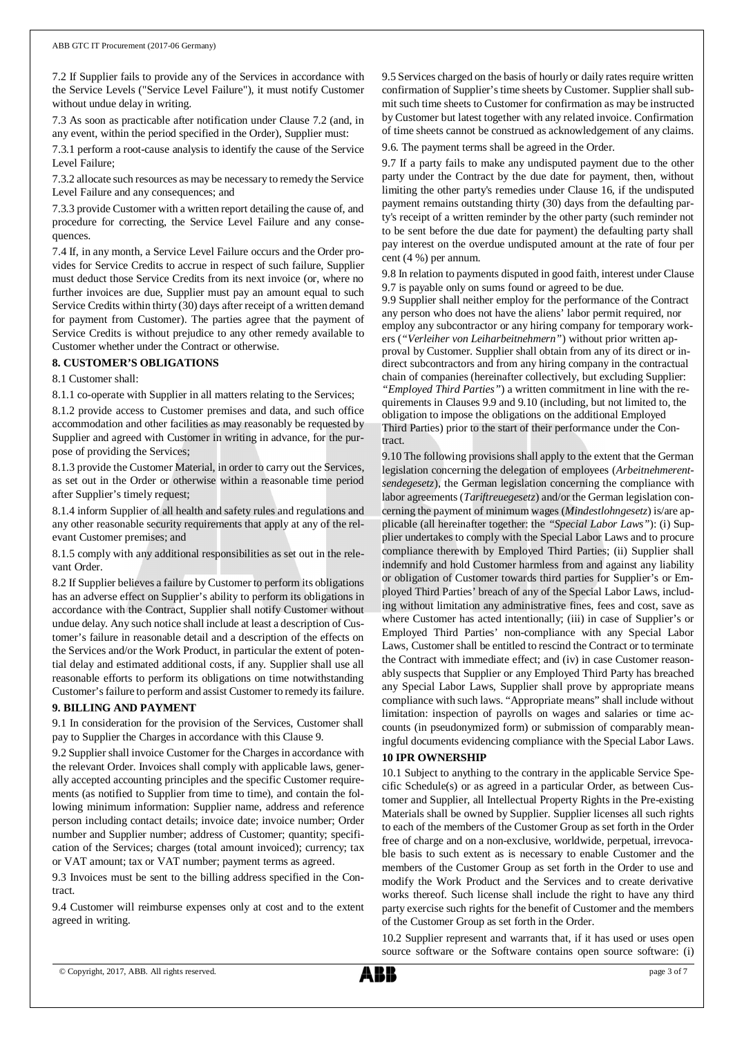7.2 If Supplier fails to provide any of the Services in accordance with the Service Levels ("Service Level Failure"), it must notify Customer without undue delay in writing.

7.3 As soon as practicable after notification under Clause 7.2 (and, in any event, within the period specified in the Order), Supplier must:

7.3.1 perform a root-cause analysis to identify the cause of the Service Level Failure;

7.3.2 allocate such resources as may be necessary to remedy the Service Level Failure and any consequences; and

7.3.3 provide Customer with a written report detailing the cause of, and procedure for correcting, the Service Level Failure and any consequences.

7.4 If, in any month, a Service Level Failure occurs and the Order provides for Service Credits to accrue in respect of such failure, Supplier must deduct those Service Credits from its next invoice (or, where no further invoices are due, Supplier must pay an amount equal to such Service Credits within thirty (30) days after receipt of a written demand for payment from Customer). The parties agree that the payment of Service Credits is without prejudice to any other remedy available to Customer whether under the Contract or otherwise.

## **8. CUSTOMER'S OBLIGATIONS**

8.1 Customer shall:

8.1.1 co-operate with Supplier in all matters relating to the Services;

8.1.2 provide access to Customer premises and data, and such office accommodation and other facilities as may reasonably be requested by Supplier and agreed with Customer in writing in advance, for the purpose of providing the Services;

8.1.3 provide the Customer Material, in order to carry out the Services, as set out in the Order or otherwise within a reasonable time period after Supplier's timely request;

8.1.4 inform Supplier of all health and safety rules and regulations and any other reasonable security requirements that apply at any of the relevant Customer premises; and

8.1.5 comply with any additional responsibilities as set out in the relevant Order.

8.2 If Supplier believes a failure by Customer to perform its obligations has an adverse effect on Supplier's ability to perform its obligations in accordance with the Contract, Supplier shall notify Customer without undue delay. Any such notice shall include at least a description of Customer's failure in reasonable detail and a description of the effects on the Services and/or the Work Product, in particular the extent of potential delay and estimated additional costs, if any. Supplier shall use all reasonable efforts to perform its obligations on time notwithstanding Customer's failure to perform and assist Customer to remedy its failure.

## **9. BILLING AND PAYMENT**

9.1 In consideration for the provision of the Services, Customer shall pay to Supplier the Charges in accordance with this Clause 9.

9.2 Supplier shall invoice Customer for the Charges in accordance with the relevant Order. Invoices shall comply with applicable laws, generally accepted accounting principles and the specific Customer requirements (as notified to Supplier from time to time), and contain the following minimum information: Supplier name, address and reference person including contact details; invoice date; invoice number; Order number and Supplier number; address of Customer; quantity; specification of the Services; charges (total amount invoiced); currency; tax or VAT amount; tax or VAT number; payment terms as agreed.

9.3 Invoices must be sent to the billing address specified in the Contract.

9.4 Customer will reimburse expenses only at cost and to the extent agreed in writing.

9.5 Services charged on the basis of hourly or daily rates require written confirmation of Supplier's time sheets by Customer. Supplier shall submit such time sheets to Customer for confirmation as may be instructed by Customer but latest together with any related invoice. Confirmation of time sheets cannot be construed as acknowledgement of any claims. 9.6. The payment terms shall be agreed in the Order.

9.7 If a party fails to make any undisputed payment due to the other party under the Contract by the due date for payment, then, without limiting the other party's remedies under Clause 16, if the undisputed payment remains outstanding thirty (30) days from the defaulting party's receipt of a written reminder by the other party (such reminder not to be sent before the due date for payment) the defaulting party shall pay interest on the overdue undisputed amount at the rate of four per cent (4 %) per annum.

9.8 In relation to payments disputed in good faith, interest under Clause 9.7 is payable only on sums found or agreed to be due.

9.9 Supplier shall neither employ for the performance of the Contract any person who does not have the aliens' labor permit required, nor employ any subcontractor or any hiring company for temporary workers (*"Verleiher von Leiharbeitnehmern"*) without prior written approval by Customer. Supplier shall obtain from any of its direct or indirect subcontractors and from any hiring company in the contractual chain of companies (hereinafter collectively, but excluding Supplier: *"Employed Third Parties"*) a written commitment in line with the requirements in Clauses 9.9 and 9.10 (including, but not limited to, the obligation to impose the obligations on the additional Employed Third Parties) prior to the start of their performance under the Contract.

9.10 The following provisions shall apply to the extent that the German legislation concerning the delegation of employees (*Arbeitnehmerentsendegesetz*), the German legislation concerning the compliance with labor agreements (*Tariftreuegesetz*) and/or the German legislation concerning the payment of minimum wages (*Mindestlohngesetz*) is/are applicable (all hereinafter together: the *"Special Labor Laws"*): (i) Supplier undertakes to comply with the Special Labor Laws and to procure compliance therewith by Employed Third Parties; (ii) Supplier shall indemnify and hold Customer harmless from and against any liability or obligation of Customer towards third parties for Supplier's or Employed Third Parties' breach of any of the Special Labor Laws, including without limitation any administrative fines, fees and cost, save as where Customer has acted intentionally; (iii) in case of Supplier's or Employed Third Parties' non-compliance with any Special Labor Laws, Customer shall be entitled to rescind the Contract or to terminate the Contract with immediate effect; and (iv) in case Customer reasonably suspects that Supplier or any Employed Third Party has breached any Special Labor Laws, Supplier shall prove by appropriate means compliance with such laws. "Appropriate means" shall include without limitation: inspection of payrolls on wages and salaries or time accounts (in pseudonymized form) or submission of comparably meaningful documents evidencing compliance with the Special Labor Laws.

## **10 IPR OWNERSHIP**

10.1 Subject to anything to the contrary in the applicable Service Specific Schedule(s) or as agreed in a particular Order, as between Customer and Supplier, all Intellectual Property Rights in the Pre-existing Materials shall be owned by Supplier. Supplier licenses all such rights to each of the members of the Customer Group as set forth in the Order free of charge and on a non-exclusive, worldwide, perpetual, irrevocable basis to such extent as is necessary to enable Customer and the members of the Customer Group as set forth in the Order to use and modify the Work Product and the Services and to create derivative works thereof. Such license shall include the right to have any third party exercise such rights for the benefit of Customer and the members of the Customer Group as set forth in the Order.

10.2 Supplier represent and warrants that, if it has used or uses open source software or the Software contains open source software: (i)

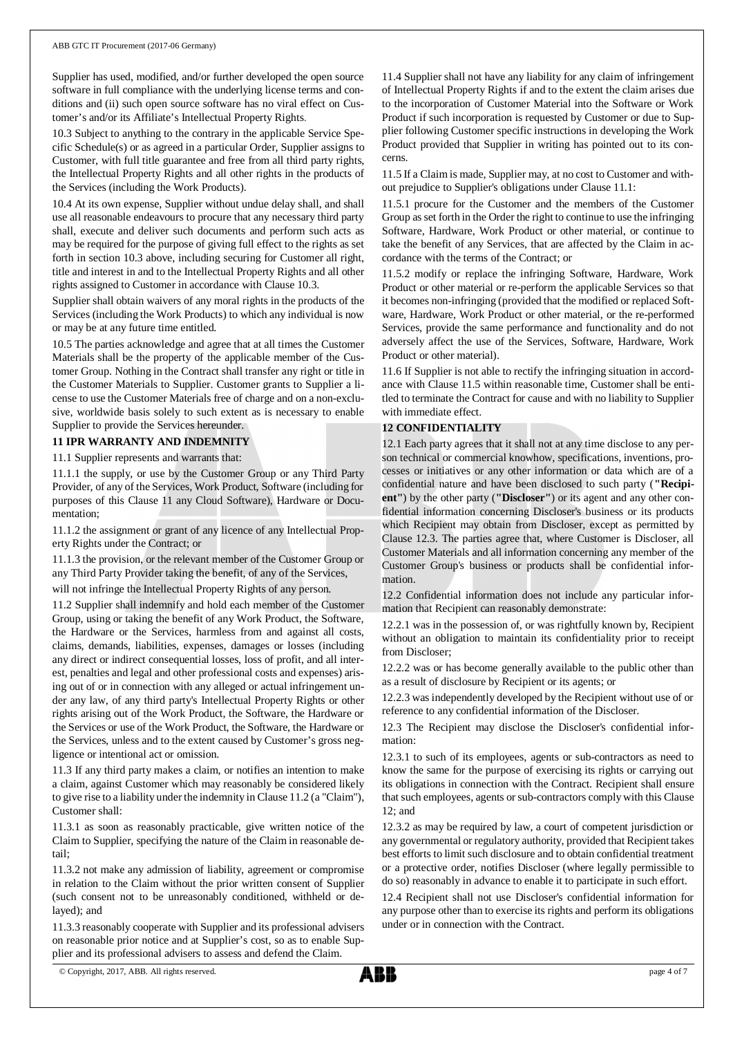Supplier has used, modified, and/or further developed the open source software in full compliance with the underlying license terms and conditions and (ii) such open source software has no viral effect on Customer's and/or its Affiliate's Intellectual Property Rights.

10.3 Subject to anything to the contrary in the applicable Service Specific Schedule(s) or as agreed in a particular Order, Supplier assigns to Customer, with full title guarantee and free from all third party rights, the Intellectual Property Rights and all other rights in the products of the Services (including the Work Products).

10.4 At its own expense, Supplier without undue delay shall, and shall use all reasonable endeavours to procure that any necessary third party shall, execute and deliver such documents and perform such acts as may be required for the purpose of giving full effect to the rights as set forth in section 10.3 above, including securing for Customer all right, title and interest in and to the Intellectual Property Rights and all other rights assigned to Customer in accordance with Clause 10.3.

Supplier shall obtain waivers of any moral rights in the products of the Services (including the Work Products) to which any individual is now or may be at any future time entitled.

10.5 The parties acknowledge and agree that at all times the Customer Materials shall be the property of the applicable member of the Customer Group. Nothing in the Contract shall transfer any right or title in the Customer Materials to Supplier. Customer grants to Supplier a license to use the Customer Materials free of charge and on a non-exclusive, worldwide basis solely to such extent as is necessary to enable Supplier to provide the Services hereunder.

## **11 IPR WARRANTY AND INDEMNITY**

11.1 Supplier represents and warrants that:

11.1.1 the supply, or use by the Customer Group or any Third Party Provider, of any of the Services, Work Product, Software (including for purposes of this Clause 11 any Cloud Software), Hardware or Documentation;

11.1.2 the assignment or grant of any licence of any Intellectual Property Rights under the Contract; or

11.1.3 the provision, or the relevant member of the Customer Group or any Third Party Provider taking the benefit, of any of the Services,

will not infringe the Intellectual Property Rights of any person.

11.2 Supplier shall indemnify and hold each member of the Customer Group, using or taking the benefit of any Work Product, the Software, the Hardware or the Services, harmless from and against all costs, claims, demands, liabilities, expenses, damages or losses (including any direct or indirect consequential losses, loss of profit, and all interest, penalties and legal and other professional costs and expenses) arising out of or in connection with any alleged or actual infringement under any law, of any third party's Intellectual Property Rights or other rights arising out of the Work Product, the Software, the Hardware or the Services or use of the Work Product, the Software, the Hardware or the Services, unless and to the extent caused by Customer's gross negligence or intentional act or omission.

11.3 If any third party makes a claim, or notifies an intention to make a claim, against Customer which may reasonably be considered likely to give rise to a liability under the indemnity in Clause 11.2 (a "Claim"), Customer shall:

11.3.1 as soon as reasonably practicable, give written notice of the Claim to Supplier, specifying the nature of the Claim in reasonable detail;

11.3.2 not make any admission of liability, agreement or compromise in relation to the Claim without the prior written consent of Supplier (such consent not to be unreasonably conditioned, withheld or delayed); and

11.3.3 reasonably cooperate with Supplier and its professional advisers on reasonable prior notice and at Supplier's cost, so as to enable Supplier and its professional advisers to assess and defend the Claim.

11.4 Supplier shall not have any liability for any claim of infringement of Intellectual Property Rights if and to the extent the claim arises due to the incorporation of Customer Material into the Software or Work Product if such incorporation is requested by Customer or due to Supplier following Customer specific instructions in developing the Work Product provided that Supplier in writing has pointed out to its concerns.

11.5 If a Claim is made, Supplier may, at no cost to Customer and without prejudice to Supplier's obligations under Clause 11.1:

11.5.1 procure for the Customer and the members of the Customer Group as set forth in the Order the right to continue to use the infringing Software, Hardware, Work Product or other material, or continue to take the benefit of any Services, that are affected by the Claim in accordance with the terms of the Contract; or

11.5.2 modify or replace the infringing Software, Hardware, Work Product or other material or re-perform the applicable Services so that it becomes non-infringing (provided that the modified or replaced Software, Hardware, Work Product or other material, or the re-performed Services, provide the same performance and functionality and do not adversely affect the use of the Services, Software, Hardware, Work Product or other material).

11.6 If Supplier is not able to rectify the infringing situation in accordance with Clause 11.5 within reasonable time, Customer shall be entitled to terminate the Contract for cause and with no liability to Supplier with immediate effect.

## **12 CONFIDENTIALITY**

12.1 Each party agrees that it shall not at any time disclose to any person technical or commercial knowhow, specifications, inventions, processes or initiatives or any other information or data which are of a confidential nature and have been disclosed to such party (**"Recipient"**) by the other party (**"Discloser"**) or its agent and any other confidential information concerning Discloser's business or its products which Recipient may obtain from Discloser, except as permitted by Clause 12.3. The parties agree that, where Customer is Discloser, all Customer Materials and all information concerning any member of the Customer Group's business or products shall be confidential information.

12.2 Confidential information does not include any particular information that Recipient can reasonably demonstrate:

12.2.1 was in the possession of, or was rightfully known by, Recipient without an obligation to maintain its confidentiality prior to receipt from Discloser;

12.2.2 was or has become generally available to the public other than as a result of disclosure by Recipient or its agents; or

12.2.3 was independently developed by the Recipient without use of or reference to any confidential information of the Discloser.

12.3 The Recipient may disclose the Discloser's confidential information:

12.3.1 to such of its employees, agents or sub-contractors as need to know the same for the purpose of exercising its rights or carrying out its obligations in connection with the Contract. Recipient shall ensure that such employees, agents or sub-contractors comply with this Clause 12; and

12.3.2 as may be required by law, a court of competent jurisdiction or any governmental or regulatory authority, provided that Recipient takes best efforts to limit such disclosure and to obtain confidential treatment or a protective order, notifies Discloser (where legally permissible to do so) reasonably in advance to enable it to participate in such effort.

12.4 Recipient shall not use Discloser's confidential information for any purpose other than to exercise its rights and perform its obligations under or in connection with the Contract.

<sup>©</sup> Copyright, 2017, ABB. All rights reserved. page 4 of 7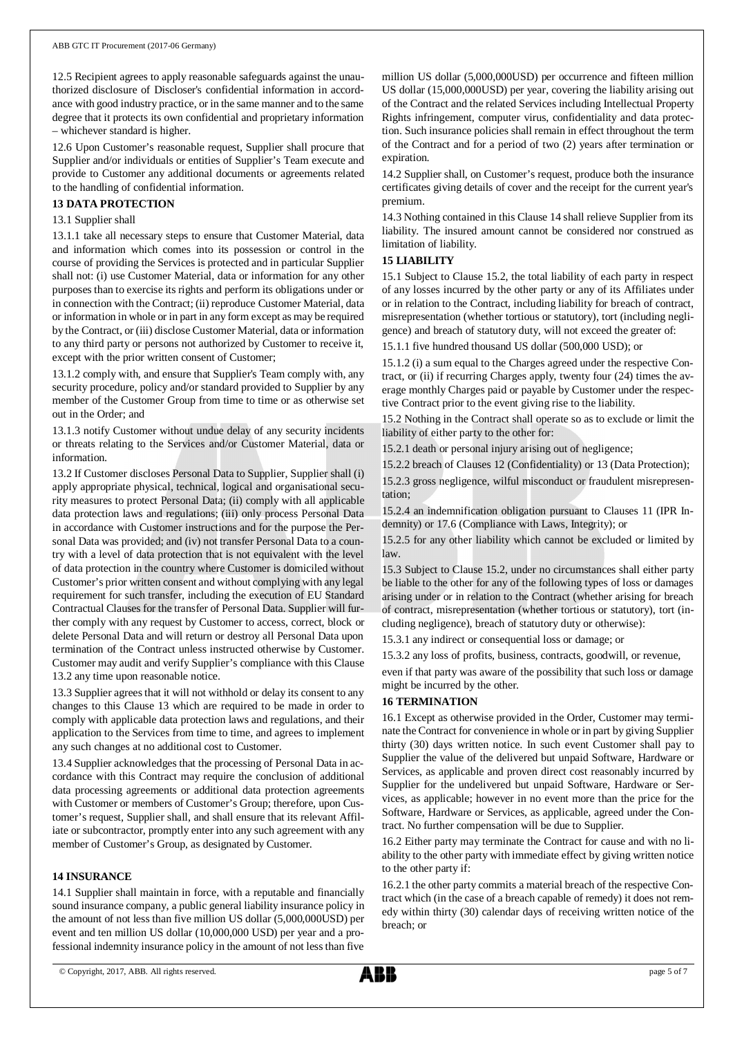12.5 Recipient agrees to apply reasonable safeguards against the unauthorized disclosure of Discloser's confidential information in accordance with good industry practice, or in the same manner and to the same degree that it protects its own confidential and proprietary information – whichever standard is higher.

12.6 Upon Customer's reasonable request, Supplier shall procure that Supplier and/or individuals or entities of Supplier's Team execute and provide to Customer any additional documents or agreements related to the handling of confidential information.

## **13 DATA PROTECTION**

#### 13.1 Supplier shall

13.1.1 take all necessary steps to ensure that Customer Material, data and information which comes into its possession or control in the course of providing the Services is protected and in particular Supplier shall not: (i) use Customer Material, data or information for any other purposes than to exercise its rights and perform its obligations under or in connection with the Contract; (ii) reproduce Customer Material, data or information in whole or in part in any form except as may be required by the Contract, or (iii) disclose Customer Material, data or information to any third party or persons not authorized by Customer to receive it, except with the prior written consent of Customer;

13.1.2 comply with, and ensure that Supplier's Team comply with, any security procedure, policy and/or standard provided to Supplier by any member of the Customer Group from time to time or as otherwise set out in the Order; and

13.1.3 notify Customer without undue delay of any security incidents or threats relating to the Services and/or Customer Material, data or information.

13.2 If Customer discloses Personal Data to Supplier, Supplier shall (i) apply appropriate physical, technical, logical and organisational security measures to protect Personal Data; (ii) comply with all applicable data protection laws and regulations; (iii) only process Personal Data in accordance with Customer instructions and for the purpose the Personal Data was provided; and (iv) not transfer Personal Data to a country with a level of data protection that is not equivalent with the level of data protection in the country where Customer is domiciled without Customer's prior written consent and without complying with any legal requirement for such transfer, including the execution of EU Standard Contractual Clauses for the transfer of Personal Data. Supplier will further comply with any request by Customer to access, correct, block or delete Personal Data and will return or destroy all Personal Data upon termination of the Contract unless instructed otherwise by Customer. Customer may audit and verify Supplier's compliance with this Clause 13.2 any time upon reasonable notice.

13.3 Supplier agrees that it will not withhold or delay its consent to any changes to this Clause 13 which are required to be made in order to comply with applicable data protection laws and regulations, and their application to the Services from time to time, and agrees to implement any such changes at no additional cost to Customer.

13.4 Supplier acknowledges that the processing of Personal Data in accordance with this Contract may require the conclusion of additional data processing agreements or additional data protection agreements with Customer or members of Customer's Group; therefore, upon Customer's request, Supplier shall, and shall ensure that its relevant Affiliate or subcontractor, promptly enter into any such agreement with any member of Customer's Group, as designated by Customer.

### **14 INSURANCE**

14.1 Supplier shall maintain in force, with a reputable and financially sound insurance company, a public general liability insurance policy in the amount of not less than five million US dollar (5,000,000USD) per event and ten million US dollar (10,000,000 USD) per year and a professional indemnity insurance policy in the amount of not less than five

million US dollar (5,000,000USD) per occurrence and fifteen million US dollar (15,000,000USD) per year, covering the liability arising out of the Contract and the related Services including Intellectual Property Rights infringement, computer virus, confidentiality and data protection. Such insurance policies shall remain in effect throughout the term of the Contract and for a period of two (2) years after termination or expiration.

14.2 Supplier shall, on Customer's request, produce both the insurance certificates giving details of cover and the receipt for the current year's premium.

14.3 Nothing contained in this Clause 14 shall relieve Supplier from its liability. The insured amount cannot be considered nor construed as limitation of liability.

## **15 LIABILITY**

15.1 Subject to Clause 15.2, the total liability of each party in respect of any losses incurred by the other party or any of its Affiliates under or in relation to the Contract, including liability for breach of contract, misrepresentation (whether tortious or statutory), tort (including negligence) and breach of statutory duty, will not exceed the greater of:

15.1.1 five hundred thousand US dollar (500,000 USD); or

15.1.2 (i) a sum equal to the Charges agreed under the respective Contract, or (ii) if recurring Charges apply, twenty four (24) times the average monthly Charges paid or payable by Customer under the respective Contract prior to the event giving rise to the liability.

15.2 Nothing in the Contract shall operate so as to exclude or limit the liability of either party to the other for:

15.2.1 death or personal injury arising out of negligence;

15.2.2 breach of Clauses 12 (Confidentiality) or 13 (Data Protection);

15.2.3 gross negligence, wilful misconduct or fraudulent misrepresentation;

15.2.4 an indemnification obligation pursuant to Clauses 11 (IPR Indemnity) or 17.6 (Compliance with Laws, Integrity); or

15.2.5 for any other liability which cannot be excluded or limited by law.

15.3 Subject to Clause 15.2, under no circumstances shall either party be liable to the other for any of the following types of loss or damages arising under or in relation to the Contract (whether arising for breach of contract, misrepresentation (whether tortious or statutory), tort (including negligence), breach of statutory duty or otherwise):

15.3.1 any indirect or consequential loss or damage; or

15.3.2 any loss of profits, business, contracts, goodwill, or revenue,

even if that party was aware of the possibility that such loss or damage might be incurred by the other.

### **16 TERMINATION**

16.1 Except as otherwise provided in the Order, Customer may terminate the Contract for convenience in whole or in part by giving Supplier thirty (30) days written notice. In such event Customer shall pay to Supplier the value of the delivered but unpaid Software, Hardware or Services, as applicable and proven direct cost reasonably incurred by Supplier for the undelivered but unpaid Software, Hardware or Services, as applicable; however in no event more than the price for the Software, Hardware or Services, as applicable, agreed under the Contract. No further compensation will be due to Supplier.

16.2 Either party may terminate the Contract for cause and with no liability to the other party with immediate effect by giving written notice to the other party if:

16.2.1 the other party commits a material breach of the respective Contract which (in the case of a breach capable of remedy) it does not remedy within thirty (30) calendar days of receiving written notice of the breach; or

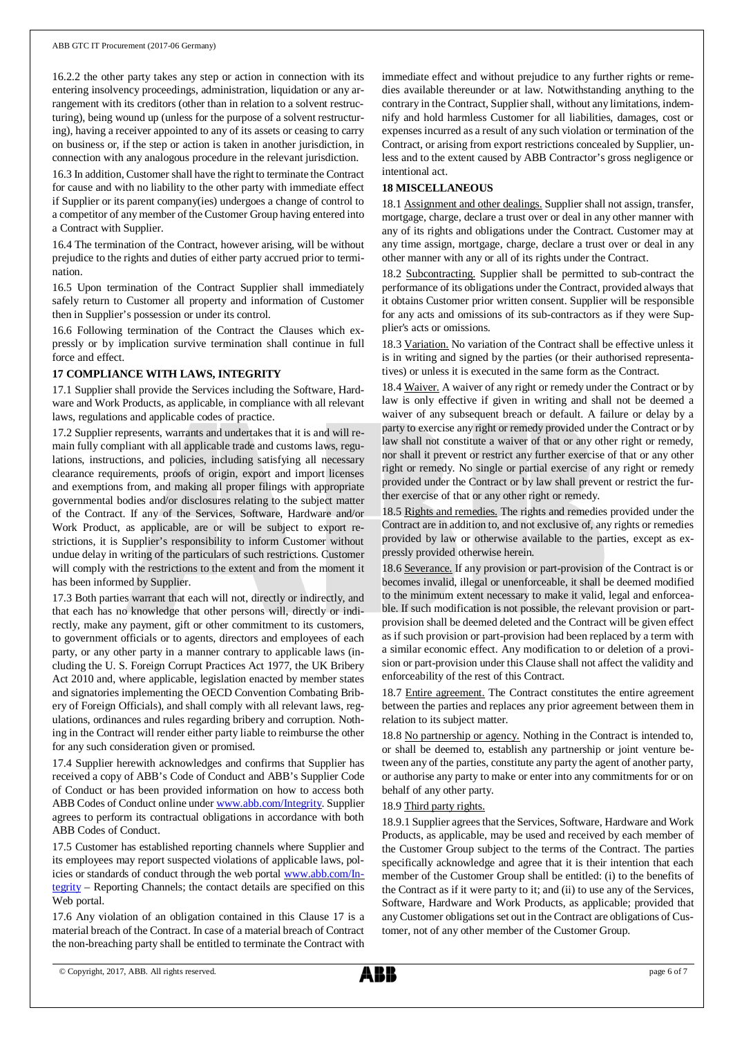16.2.2 the other party takes any step or action in connection with its entering insolvency proceedings, administration, liquidation or any arrangement with its creditors (other than in relation to a solvent restructuring), being wound up (unless for the purpose of a solvent restructuring), having a receiver appointed to any of its assets or ceasing to carry on business or, if the step or action is taken in another jurisdiction, in connection with any analogous procedure in the relevant jurisdiction.

16.3 In addition, Customer shall have the right to terminate the Contract for cause and with no liability to the other party with immediate effect if Supplier or its parent company(ies) undergoes a change of control to a competitor of any member of the Customer Group having entered into a Contract with Supplier.

16.4 The termination of the Contract, however arising, will be without prejudice to the rights and duties of either party accrued prior to termination.

16.5 Upon termination of the Contract Supplier shall immediately safely return to Customer all property and information of Customer then in Supplier's possession or under its control.

16.6 Following termination of the Contract the Clauses which expressly or by implication survive termination shall continue in full force and effect.

### **17 COMPLIANCE WITH LAWS, INTEGRITY**

17.1 Supplier shall provide the Services including the Software, Hardware and Work Products, as applicable, in compliance with all relevant laws, regulations and applicable codes of practice.

17.2 Supplier represents, warrants and undertakes that it is and will remain fully compliant with all applicable trade and customs laws, regulations, instructions, and policies, including satisfying all necessary clearance requirements, proofs of origin, export and import licenses and exemptions from, and making all proper filings with appropriate governmental bodies and/or disclosures relating to the subject matter of the Contract. If any of the Services, Software, Hardware and/or Work Product, as applicable, are or will be subject to export restrictions, it is Supplier's responsibility to inform Customer without undue delay in writing of the particulars of such restrictions. Customer will comply with the restrictions to the extent and from the moment it has been informed by Supplier.

17.3 Both parties warrant that each will not, directly or indirectly, and that each has no knowledge that other persons will, directly or indirectly, make any payment, gift or other commitment to its customers, to government officials or to agents, directors and employees of each party, or any other party in a manner contrary to applicable laws (including the U. S. Foreign Corrupt Practices Act 1977, the UK Bribery Act 2010 and, where applicable, legislation enacted by member states and signatories implementing the OECD Convention Combating Bribery of Foreign Officials), and shall comply with all relevant laws, regulations, ordinances and rules regarding bribery and corruption. Nothing in the Contract will render either party liable to reimburse the other for any such consideration given or promised.

17.4 Supplier herewith acknowledges and confirms that Supplier has received a copy of ABB's Code of Conduct and ABB's Supplier Code of Conduct or has been provided information on how to access both ABB Codes of Conduct online under www.abb.com/Integrity. Supplier agrees to perform its contractual obligations in accordance with both ABB Codes of Conduct.

17.5 Customer has established reporting channels where Supplier and its employees may report suspected violations of applicable laws, policies or standards of conduct through the web portal www.abb.com/Integrity – Reporting Channels; the contact details are specified on this Web portal.

17.6 Any violation of an obligation contained in this Clause 17 is a material breach of the Contract. In case of a material breach of Contract the non-breaching party shall be entitled to terminate the Contract with

immediate effect and without prejudice to any further rights or remedies available thereunder or at law. Notwithstanding anything to the contrary in the Contract, Supplier shall, without any limitations, indemnify and hold harmless Customer for all liabilities, damages, cost or expenses incurred as a result of any such violation or termination of the Contract, or arising from export restrictions concealed by Supplier, unless and to the extent caused by ABB Contractor's gross negligence or intentional act.

### **18 MISCELLANEOUS**

18.1 Assignment and other dealings. Supplier shall not assign, transfer, mortgage, charge, declare a trust over or deal in any other manner with any of its rights and obligations under the Contract. Customer may at any time assign, mortgage, charge, declare a trust over or deal in any other manner with any or all of its rights under the Contract.

18.2 Subcontracting. Supplier shall be permitted to sub-contract the performance of its obligations under the Contract, provided always that it obtains Customer prior written consent. Supplier will be responsible for any acts and omissions of its sub-contractors as if they were Supplier's acts or omissions.

18.3 Variation. No variation of the Contract shall be effective unless it is in writing and signed by the parties (or their authorised representatives) or unless it is executed in the same form as the Contract.

18.4 Waiver. A waiver of any right or remedy under the Contract or by law is only effective if given in writing and shall not be deemed a waiver of any subsequent breach or default. A failure or delay by a party to exercise any right or remedy provided under the Contract or by law shall not constitute a waiver of that or any other right or remedy, nor shall it prevent or restrict any further exercise of that or any other right or remedy. No single or partial exercise of any right or remedy provided under the Contract or by law shall prevent or restrict the further exercise of that or any other right or remedy.

18.5 Rights and remedies. The rights and remedies provided under the Contract are in addition to, and not exclusive of, any rights or remedies provided by law or otherwise available to the parties, except as expressly provided otherwise herein.

18.6 Severance. If any provision or part-provision of the Contract is or becomes invalid, illegal or unenforceable, it shall be deemed modified to the minimum extent necessary to make it valid, legal and enforceable. If such modification is not possible, the relevant provision or partprovision shall be deemed deleted and the Contract will be given effect as if such provision or part-provision had been replaced by a term with a similar economic effect. Any modification to or deletion of a provision or part-provision under this Clause shall not affect the validity and enforceability of the rest of this Contract.

18.7 Entire agreement. The Contract constitutes the entire agreement between the parties and replaces any prior agreement between them in relation to its subject matter.

18.8 No partnership or agency. Nothing in the Contract is intended to, or shall be deemed to, establish any partnership or joint venture between any of the parties, constitute any party the agent of another party, or authorise any party to make or enter into any commitments for or on behalf of any other party.

### 18.9 Third party rights.

18.9.1 Supplier agrees that the Services, Software, Hardware and Work Products, as applicable, may be used and received by each member of the Customer Group subject to the terms of the Contract. The parties specifically acknowledge and agree that it is their intention that each member of the Customer Group shall be entitled: (i) to the benefits of the Contract as if it were party to it; and (ii) to use any of the Services, Software, Hardware and Work Products, as applicable; provided that any Customer obligations set out in the Contract are obligations of Customer, not of any other member of the Customer Group.